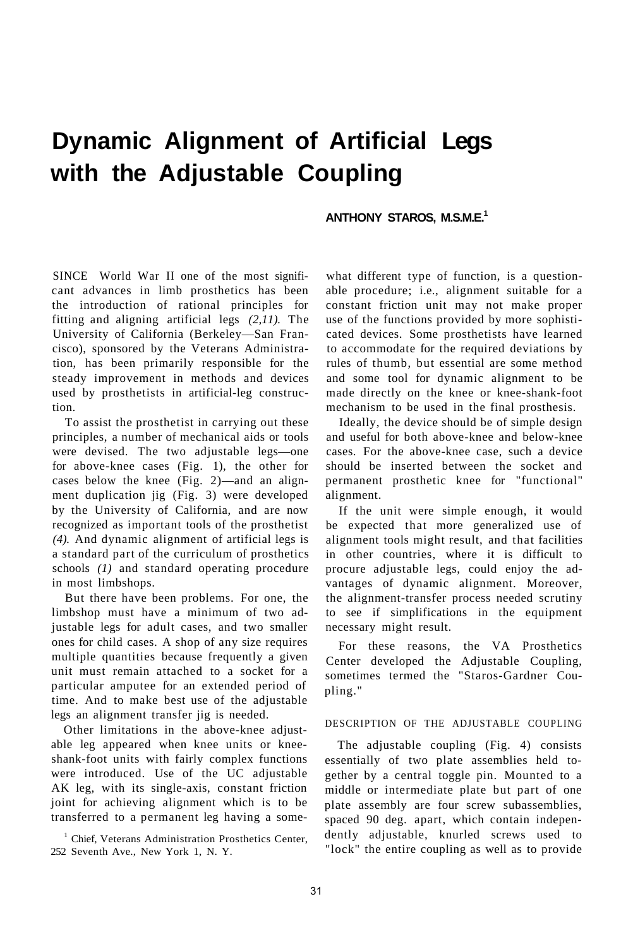# **Dynamic Alignment of Artificial Legs with the Adjustable Coupling**

# **ANTHONY STAROS, M.S.M.E.<sup>1</sup>**

SINCE World War II one of the most significant advances in limb prosthetics has been the introduction of rational principles for fitting and aligning artificial legs *(2,11).* The University of California (Berkeley—San Francisco), sponsored by the Veterans Administration, has been primarily responsible for the steady improvement in methods and devices used by prosthetists in artificial-leg construction.

To assist the prosthetist in carrying out these principles, a number of mechanical aids or tools were devised. The two adjustable legs—one for above-knee cases (Fig. 1), the other for cases below the knee (Fig. 2)—and an alignment duplication jig (Fig. 3) were developed by the University of California, and are now recognized as important tools of the prosthetist *(4).* And dynamic alignment of artificial legs is a standard part of the curriculum of prosthetics schools *(1)* and standard operating procedure in most limbshops.

But there have been problems. For one, the limbshop must have a minimum of two adjustable legs for adult cases, and two smaller ones for child cases. A shop of any size requires multiple quantities because frequently a given unit must remain attached to a socket for a particular amputee for an extended period of time. And to make best use of the adjustable legs an alignment transfer jig is needed.

Other limitations in the above-knee adjustable leg appeared when knee units or kneeshank-foot units with fairly complex functions were introduced. Use of the UC adjustable AK leg, with its single-axis, constant friction joint for achieving alignment which is to be transferred to a permanent leg having a some-

<sup>1</sup> Chief, Veterans Administration Prosthetics Center, 252 Seventh Ave., New York 1, N. Y.

what different type of function, is a questionable procedure; i.e., alignment suitable for a constant friction unit may not make proper use of the functions provided by more sophisticated devices. Some prosthetists have learned to accommodate for the required deviations by rules of thumb, but essential are some method and some tool for dynamic alignment to be made directly on the knee or knee-shank-foot mechanism to be used in the final prosthesis.

Ideally, the device should be of simple design and useful for both above-knee and below-knee cases. For the above-knee case, such a device should be inserted between the socket and permanent prosthetic knee for "functional" alignment.

If the unit were simple enough, it would be expected that more generalized use of alignment tools might result, and that facilities in other countries, where it is difficult to procure adjustable legs, could enjoy the advantages of dynamic alignment. Moreover, the alignment-transfer process needed scrutiny to see if simplifications in the equipment necessary might result.

For these reasons, the VA Prosthetics Center developed the Adjustable Coupling, sometimes termed the "Staros-Gardner Coupling."

## DESCRIPTION OF THE ADJUSTABLE COUPLING

The adjustable coupling (Fig. 4) consists essentially of two plate assemblies held together by a central toggle pin. Mounted to a middle or intermediate plate but part of one plate assembly are four screw subassemblies, spaced 90 deg. apart, which contain independently adjustable, knurled screws used to "lock" the entire coupling as well as to provide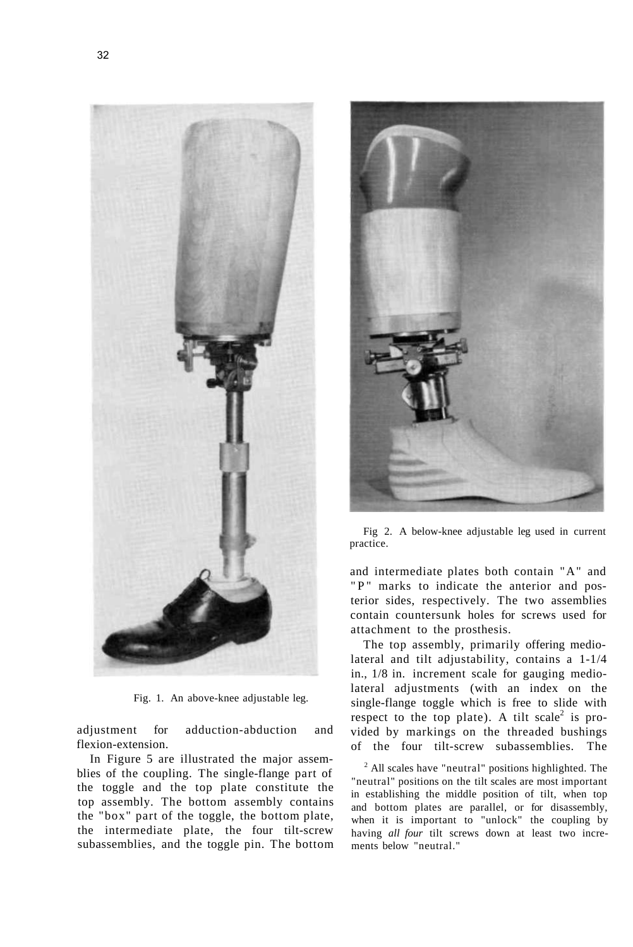

Fig. 1. An above-knee adjustable leg.

adjustment for adduction-abduction and flexion-extension.

In Figure 5 are illustrated the major assemblies of the coupling. The single-flange part of the toggle and the top plate constitute the top assembly. The bottom assembly contains the "box" part of the toggle, the bottom plate, the intermediate plate, the four tilt-screw subassemblies, and the toggle pin. The bottom



Fig 2. A below-knee adjustable leg used in current practice.

and intermediate plates both contain "A" and "P" marks to indicate the anterior and posterior sides, respectively. The two assemblies contain countersunk holes for screws used for attachment to the prosthesis.

The top assembly, primarily offering mediolateral and tilt adjustability, contains a 1-1/4 in., 1/8 in. increment scale for gauging mediolateral adjustments (with an index on the single-flange toggle which is free to slide with respect to the top plate). A tilt scale<sup>2</sup> is provided by markings on the threaded bushings of the four tilt-screw subassemblies. The

<sup>2</sup> All scales have "neutral" positions highlighted. The "neutral" positions on the tilt scales are most important in establishing the middle position of tilt, when top and bottom plates are parallel, or for disassembly, when it is important to "unlock" the coupling by having *all four* tilt screws down at least two increments below "neutral."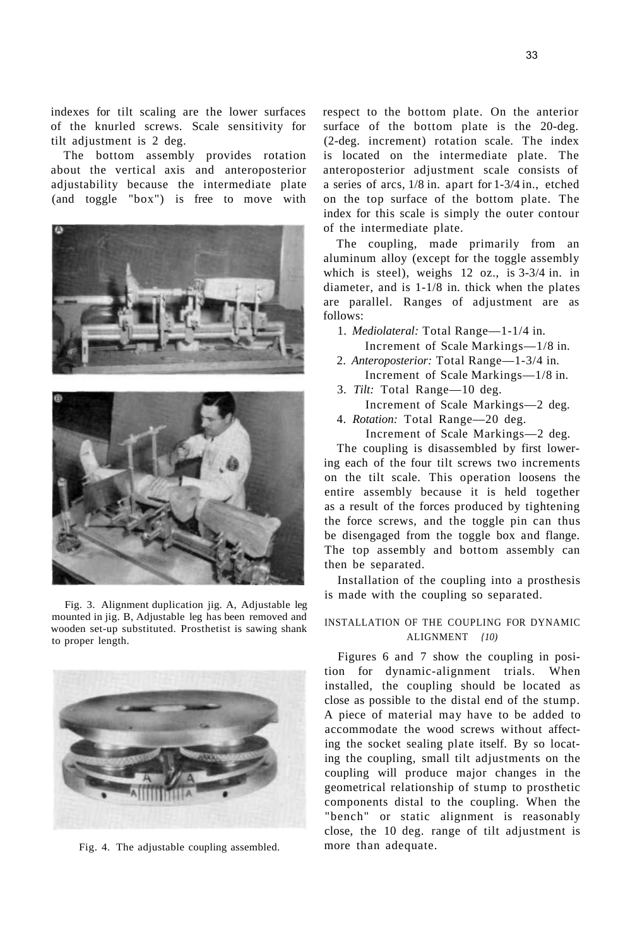indexes for tilt scaling are the lower surfaces of the knurled screws. Scale sensitivity for tilt adjustment is 2 deg.

The bottom assembly provides rotation about the vertical axis and anteroposterior adjustability because the intermediate plate (and toggle "box") is free to move with



Fig. 3. Alignment duplication jig. A, Adjustable leg mounted in jig. B, Adjustable leg has been removed and wooden set-up substituted. Prosthetist is sawing shank to proper length.



Fig. 4. The adjustable coupling assembled.

respect to the bottom plate. On the anterior surface of the bottom plate is the 20-deg. (2-deg. increment) rotation scale. The index is located on the intermediate plate. The anteroposterior adjustment scale consists of a series of arcs, 1/8 in. apart for 1-3/4 in., etched on the top surface of the bottom plate. The index for this scale is simply the outer contour of the intermediate plate.

The coupling, made primarily from an aluminum alloy (except for the toggle assembly which is steel), weighs 12 oz., is 3-3/4 in. in diameter, and is 1-1/8 in. thick when the plates are parallel. Ranges of adjustment are as follows:

1. *Mediolateral:* Total Range—1-1/4 in.

- Increment of Scale Markings—1/8 in.
- 2. *Anteroposterior:* Total Range—1-3/4 in. Increment of Scale Markings—1/8 in.
- 3. *Tilt:* Total Range—10 deg. Increment of Scale Markings—2 deg.
- 4. *Rotation:* Total Range—20 deg.
	- Increment of Scale Markings—2 deg.

The coupling is disassembled by first lowering each of the four tilt screws two increments on the tilt scale. This operation loosens the entire assembly because it is held together as a result of the forces produced by tightening the force screws, and the toggle pin can thus be disengaged from the toggle box and flange. The top assembly and bottom assembly can then be separated.

Installation of the coupling into a prosthesis is made with the coupling so separated.

# INSTALLATION OF THE COUPLING FOR DYNAMIC ALIGNMENT *{10)*

Figures 6 and 7 show the coupling in position for dynamic-alignment trials. When installed, the coupling should be located as close as possible to the distal end of the stump. A piece of material may have to be added to accommodate the wood screws without affecting the socket sealing plate itself. By so locating the coupling, small tilt adjustments on the coupling will produce major changes in the geometrical relationship of stump to prosthetic components distal to the coupling. When the "bench" or static alignment is reasonably close, the 10 deg. range of tilt adjustment is more than adequate.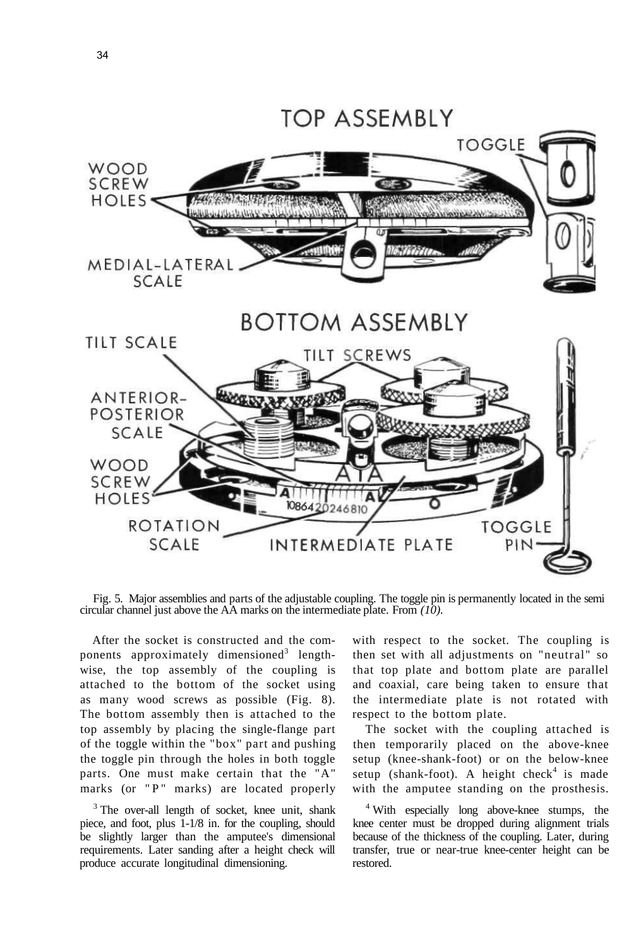

Fig. 5. Major assemblies and parts of the adjustable coupling. The toggle pin is permanently located in the semi circular channel just above the AA marks on the intermediate plate. From *(10).* 

After the socket is constructed and the components approximately dimensioned<sup>3</sup> lengthwise, the top assembly of the coupling is attached to the bottom of the socket using as many wood screws as possible (Fig. 8). The bottom assembly then is attached to the top assembly by placing the single-flange part of the toggle within the "box" part and pushing the toggle pin through the holes in both toggle parts. One must make certain that the "A" marks (or  $"P"$  marks) are located properly

<sup>3</sup> The over-all length of socket, knee unit, shank piece, and foot, plus 1-1/8 in. for the coupling, should be slightly larger than the amputee's dimensional requirements. Later sanding after a height check will produce accurate longitudinal dimensioning.

with respect to the socket. The coupling is then set with all adjustments on "neutral" so that top plate and bottom plate are parallel and coaxial, care being taken to ensure that the intermediate plate is not rotated with respect to the bottom plate.

The socket with the coupling attached is then temporarily placed on the above-knee setup (knee-shank-foot) or on the below-knee setup (shank-foot). A height check<sup>4</sup> is made with the amputee standing on the prosthesis.

4 With especially long above-knee stumps, the knee center must be dropped during alignment trials because of the thickness of the coupling. Later, during transfer, true or near-true knee-center height can be restored.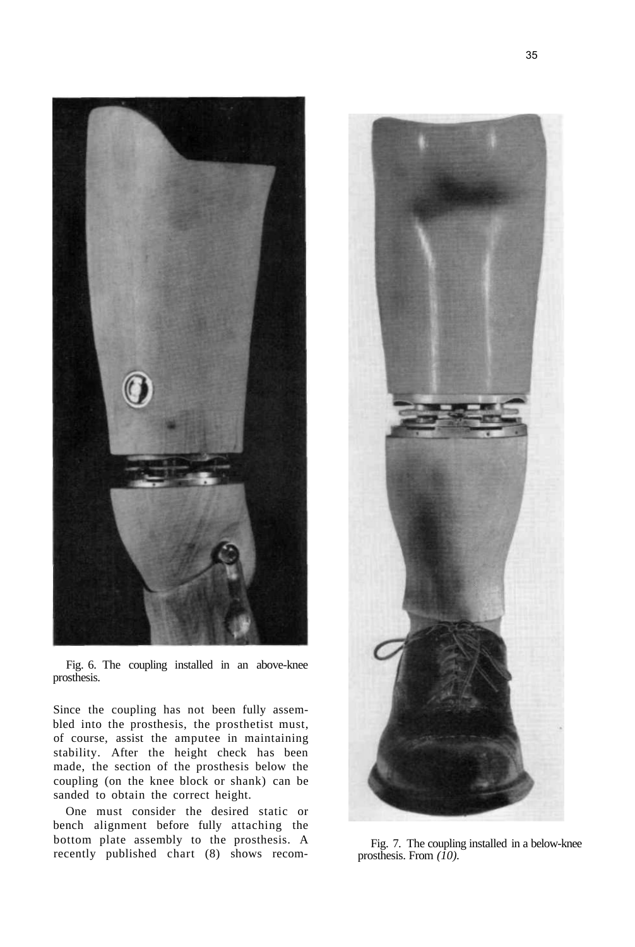

Fig. 6. The coupling installed in an above-knee prosthesis.

Since the coupling has not been fully assembled into the prosthesis, the prosthetist must, of course, assist the amputee in maintaining stability. After the height check has been made, the section of the prosthesis below the coupling (on the knee block or shank) can be sanded to obtain the correct height.

One must consider the desired static or bench alignment before fully attaching the bottom plate assembly to the prosthesis. A recently published chart (8) shows recom-



Fig. 7. The coupling installed in a below-knee prosthesis. From *(10).*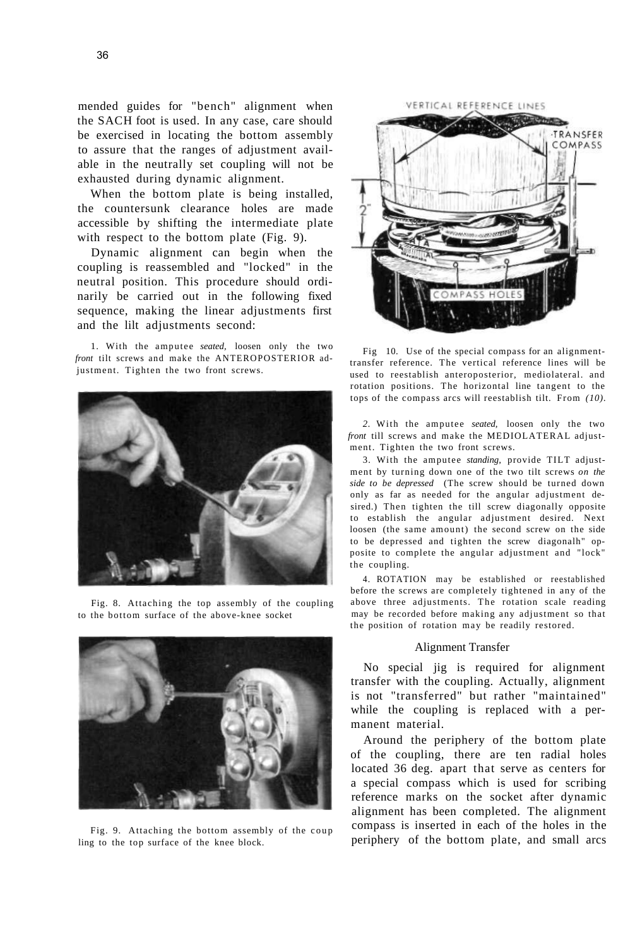mended guides for "bench" alignment when the SACH foot is used. In any case, care should be exercised in locating the bottom assembly to assure that the ranges of adjustment available in the neutrally set coupling will not be exhausted during dynamic alignment.

When the bottom plate is being installed, the countersunk clearance holes are made accessible by shifting the intermediate plate with respect to the bottom plate (Fig. 9).

Dynamic alignment can begin when the coupling is reassembled and "locked" in the neutral position. This procedure should ordinarily be carried out in the following fixed sequence, making the linear adjustments first and the lilt adjustments second:

1. With the amputee *seated*, loosen only the two *front* tilt screws and make the ANTEROPOSTERIOR adjustment. Tighten the two front screws.



Fig. 8. Attaching the top assembly of the coupling to the bottom surface of the above-knee socket



Fig. 9. Attaching the bottom assembly of the coup ling to the top surface of the knee block.

![](_page_5_Picture_9.jpeg)

Fig 10. Use of the special compass for an alignmenttransfer reference. The vertical reference lines will be used to reestablish anteroposterior, mediolateral. and rotation positions. The horizontal line tangent to the tops of the compass arcs will reestablish tilt. From *(10).* 

2. With the amputee seated, loosen only the two *front* till screws and make the MEDIOLATERAL adjustment. Tighten the two front screws.

3. With the amputee *standing,* provide TILT adjustment by turning down one of the two tilt screws *on the side to be depressed* (The screw should be turned down only as far as needed for the angular adjustment desired.) Then tighten the till screw diagonally opposite to establish the angular adjustment desired. Next loosen (the same amount) the second screw on the side to be depressed and tighten the screw diagonalh" opposite to complete the angular adjustment and "lock" the coupling.

4. ROTATION may be established or reestablished before the screws are completely tightened in any of the above three adjustments. The rotation scale reading may be recorded before making any adjustment so that the position of rotation may be readily restored.

#### Alignment Transfer

No special jig is required for alignment transfer with the coupling. Actually, alignment is not "transferred" but rather "maintained" while the coupling is replaced with a permanent material.

Around the periphery of the bottom plate of the coupling, there are ten radial holes located 36 deg. apart that serve as centers for a special compass which is used for scribing reference marks on the socket after dynamic alignment has been completed. The alignment compass is inserted in each of the holes in the periphery of the bottom plate, and small arcs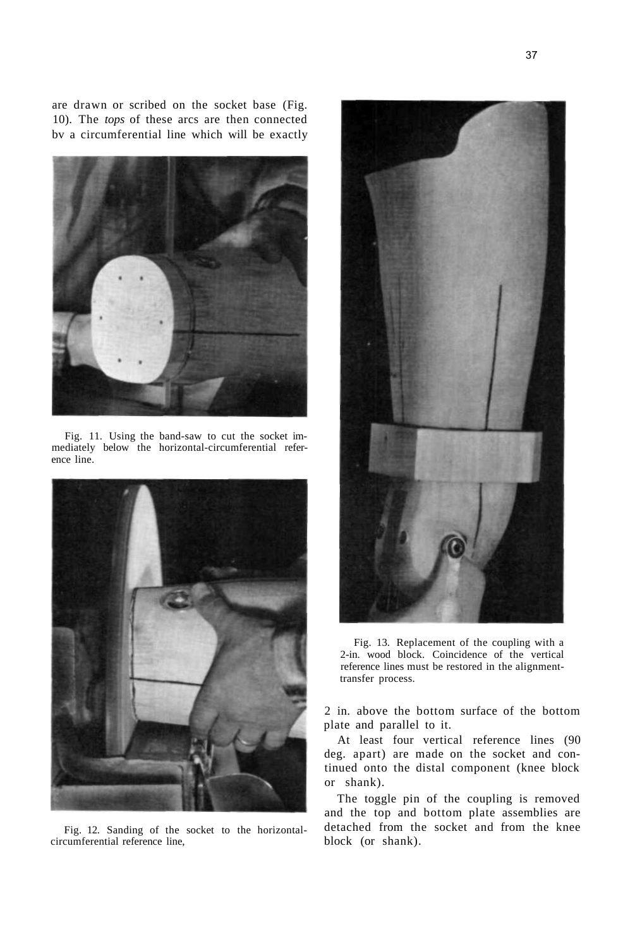are drawn or scribed on the socket base (Fig. 10). The *tops* of these arcs are then connected bv a circumferential line which will be exactly

![](_page_6_Picture_1.jpeg)

Fig. 11. Using the band-saw to cut the socket immediately below the horizontal-circumferential reference line.

![](_page_6_Picture_3.jpeg)

Fig. 12. Sanding of the socket to the horizontalcircumferential reference line,

![](_page_6_Picture_5.jpeg)

Fig. 13. Replacement of the coupling with a 2-in. wood block. Coincidence of the vertical reference lines must be restored in the alignmenttransfer process.

2 in. above the bottom surface of the bottom plate and parallel to it.

At least four vertical reference lines (90 deg. apart) are made on the socket and continued onto the distal component (knee block or shank).

The toggle pin of the coupling is removed and the top and bottom plate assemblies are detached from the socket and from the knee block (or shank).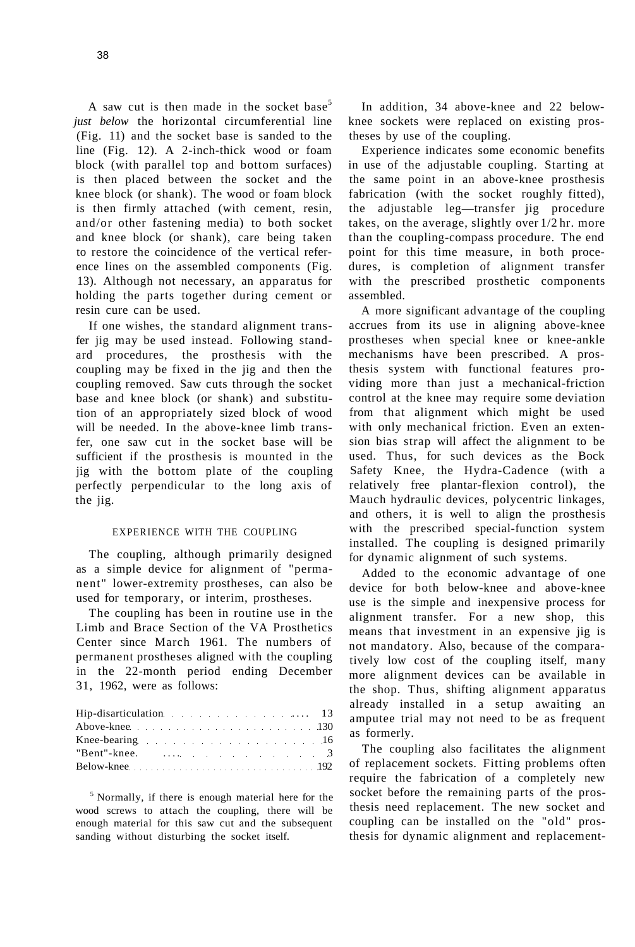A saw cut is then made in the socket base<sup>5</sup> *just below* the horizontal circumferential line (Fig. 11) and the socket base is sanded to the line (Fig. 12). A 2-inch-thick wood or foam block (with parallel top and bottom surfaces) is then placed between the socket and the knee block (or shank). The wood or foam block is then firmly attached (with cement, resin, and/or other fastening media) to both socket and knee block (or shank), care being taken to restore the coincidence of the vertical reference lines on the assembled components (Fig. 13). Although not necessary, an apparatus for holding the parts together during cement or resin cure can be used.

If one wishes, the standard alignment transfer jig may be used instead. Following standard procedures, the prosthesis with the coupling may be fixed in the jig and then the coupling removed. Saw cuts through the socket base and knee block (or shank) and substitution of an appropriately sized block of wood will be needed. In the above-knee limb transfer, one saw cut in the socket base will be sufficient if the prosthesis is mounted in the jig with the bottom plate of the coupling perfectly perpendicular to the long axis of the jig.

# EXPERIENCE WITH THE COUPLING

The coupling, although primarily designed as a simple device for alignment of "permanent" lower-extremity prostheses, can also be used for temporary, or interim, prostheses.

The coupling has been in routine use in the Limb and Brace Section of the VA Prosthetics Center since March 1961. The numbers of permanent prostheses aligned with the coupling in the 22-month period ending December 31, 1962, were as follows:

| Hip-disarticulation 13  |  |
|-------------------------|--|
| Above-knee 130          |  |
| Knee-bearing 16         |  |
| "Bent"-knee. $\ldots$ 3 |  |
|                         |  |

<sup>5</sup> Normally, if there is enough material here for the wood screws to attach the coupling, there will be enough material for this saw cut and the subsequent sanding without disturbing the socket itself.

In addition, 34 above-knee and 22 belowknee sockets were replaced on existing prostheses by use of the coupling.

Experience indicates some economic benefits in use of the adjustable coupling. Starting at the same point in an above-knee prosthesis fabrication (with the socket roughly fitted), the adjustable leg—transfer jig procedure takes, on the average, slightly over 1/2 hr. more than the coupling-compass procedure. The end point for this time measure, in both procedures, is completion of alignment transfer with the prescribed prosthetic components assembled.

A more significant advantage of the coupling accrues from its use in aligning above-knee prostheses when special knee or knee-ankle mechanisms have been prescribed. A prosthesis system with functional features providing more than just a mechanical-friction control at the knee may require some deviation from that alignment which might be used with only mechanical friction. Even an extension bias strap will affect the alignment to be used. Thus, for such devices as the Bock Safety Knee, the Hydra-Cadence (with a relatively free plantar-flexion control), the Mauch hydraulic devices, polycentric linkages, and others, it is well to align the prosthesis with the prescribed special-function system installed. The coupling is designed primarily for dynamic alignment of such systems.

Added to the economic advantage of one device for both below-knee and above-knee use is the simple and inexpensive process for alignment transfer. For a new shop, this means that investment in an expensive jig is not mandatory. Also, because of the comparatively low cost of the coupling itself, many more alignment devices can be available in the shop. Thus, shifting alignment apparatus already installed in a setup awaiting an amputee trial may not need to be as frequent as formerly.

The coupling also facilitates the alignment of replacement sockets. Fitting problems often require the fabrication of a completely new socket before the remaining parts of the prosthesis need replacement. The new socket and coupling can be installed on the "old" prosthesis for dynamic alignment and replacement-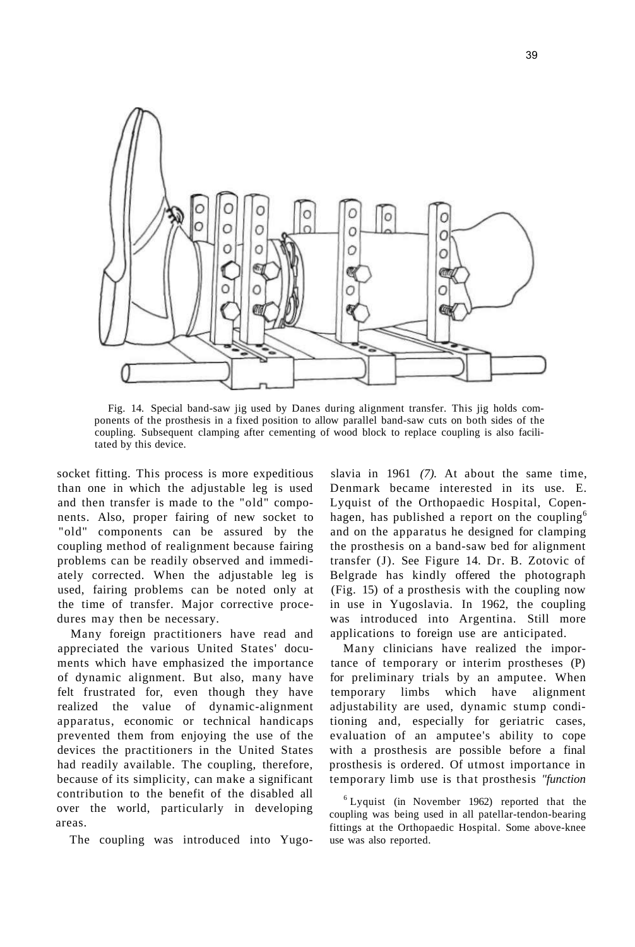![](_page_8_Figure_0.jpeg)

Fig. 14. Special band-saw jig used by Danes during alignment transfer. This jig holds components of the prosthesis in a fixed position to allow parallel band-saw cuts on both sides of the coupling. Subsequent clamping after cementing of wood block to replace coupling is also facilitated by this device.

socket fitting. This process is more expeditious than one in which the adjustable leg is used and then transfer is made to the "old" components. Also, proper fairing of new socket to "old" components can be assured by the coupling method of realignment because fairing problems can be readily observed and immediately corrected. When the adjustable leg is used, fairing problems can be noted only at the time of transfer. Major corrective procedures may then be necessary.

Many foreign practitioners have read and appreciated the various United States' documents which have emphasized the importance of dynamic alignment. But also, many have felt frustrated for, even though they have realized the value of dynamic-alignment apparatus, economic or technical handicaps prevented them from enjoying the use of the devices the practitioners in the United States had readily available. The coupling, therefore, because of its simplicity, can make a significant contribution to the benefit of the disabled all over the world, particularly in developing areas.

The coupling was introduced into Yugo-

slavia in 1961 *(7).* At about the same time, Denmark became interested in its use. E. Lyquist of the Orthopaedic Hospital, Copenhagen, has published a report on the coupling<sup>6</sup> and on the apparatus he designed for clamping the prosthesis on a band-saw bed for alignment transfer (J). See Figure 14. Dr. B. Zotovic of Belgrade has kindly offered the photograph (Fig. 15) of a prosthesis with the coupling now in use in Yugoslavia. In 1962, the coupling was introduced into Argentina. Still more applications to foreign use are anticipated.

Many clinicians have realized the importance of temporary or interim prostheses (P) for preliminary trials by an amputee. When temporary limbs which have alignment adjustability are used, dynamic stump conditioning and, especially for geriatric cases, evaluation of an amputee's ability to cope with a prosthesis are possible before a final prosthesis is ordered. Of utmost importance in temporary limb use is that prosthesis *"function* 

6 Lyquist (in November 1962) reported that the coupling was being used in all patellar-tendon-bearing fittings at the Orthopaedic Hospital. Some above-knee use was also reported.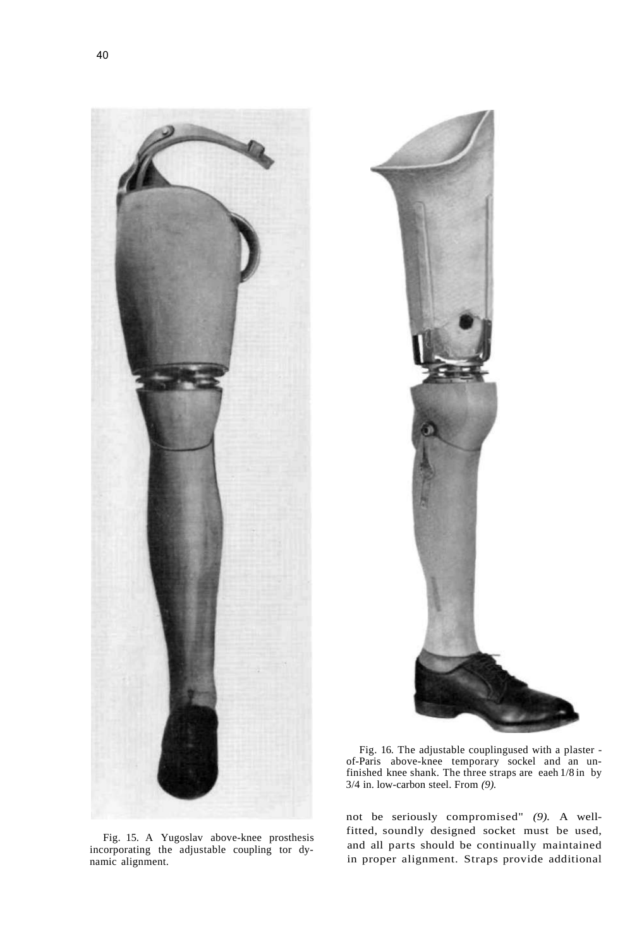![](_page_9_Picture_1.jpeg)

Fig. 15. A Yugoslav above-knee prosthesis incorporating the adjustable coupling tor dynamic alignment.

![](_page_9_Picture_3.jpeg)

Fig. 16. The adjustable couplingused with a plaster of-Paris above-knee temporary sockel and an unfinished knee shank. The three straps are eaeh 1/8 in by 3/4 in. low-carbon steel. From *(9).* 

not be seriously compromised" *(9).* A wellfitted, soundly designed socket must be used, and all parts should be continually maintained in proper alignment. Straps provide additional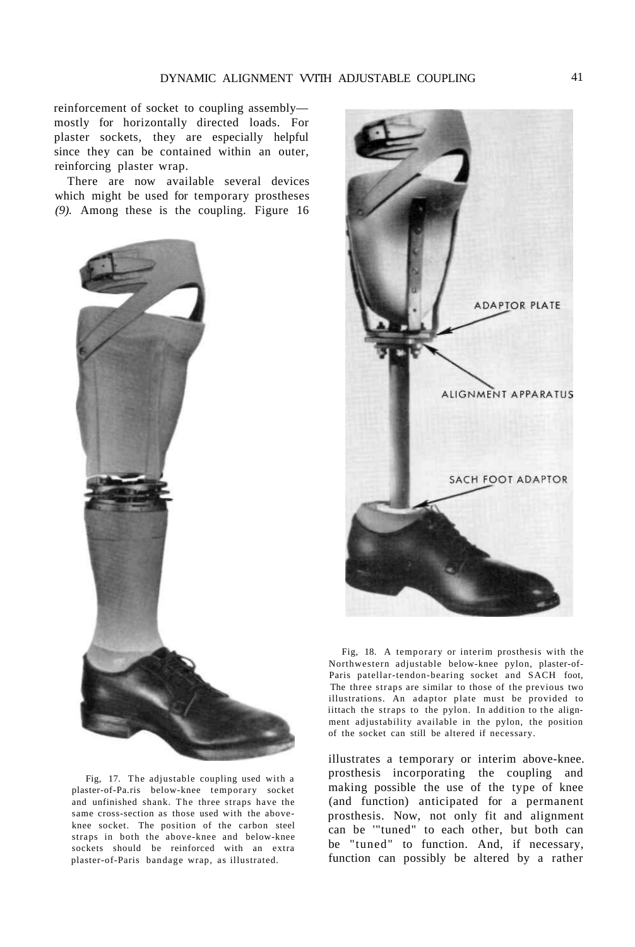reinforcement of socket to coupling assembly mostly for horizontally directed loads. For plaster sockets, they are especially helpful since they can be contained within an outer, reinforcing plaster wrap.

There are now available several devices which might be used for temporary prostheses *(9).* Among these is the coupling. Figure 16

![](_page_10_Picture_3.jpeg)

Fig, 17. The adjustable coupling used with a plaster-of-Pa.ris below-knee temporary socket and unfinished shank. The three straps have the same cross-section as those used with the aboveknee socket. The position of the carbon steel straps in both the above-knee and below-knee sockets should be reinforced with an extra plaster-of-Paris bandage wrap, as illustrated.

![](_page_10_Picture_5.jpeg)

Fig, 18. A temporary or interim prosthesis with the Northwestern adjustable below-knee pylon, plaster-of-Paris patellar-tendon-bearing socket and SACH foot, The three straps are similar to those of the previous two illustrations. An adaptor plate must be provided to iittach the straps to the pylon. In addition to the alignment adjustability available in the pylon, the position of the socket can still be altered if necessary.

illustrates a temporary or interim above-knee. prosthesis incorporating the coupling and making possible the use of the type of knee (and function) anticipated for a permanent prosthesis. Now, not only fit and alignment can be '"tuned" to each other, but both can be "tuned" to function. And, if necessary, function can possibly be altered by a rather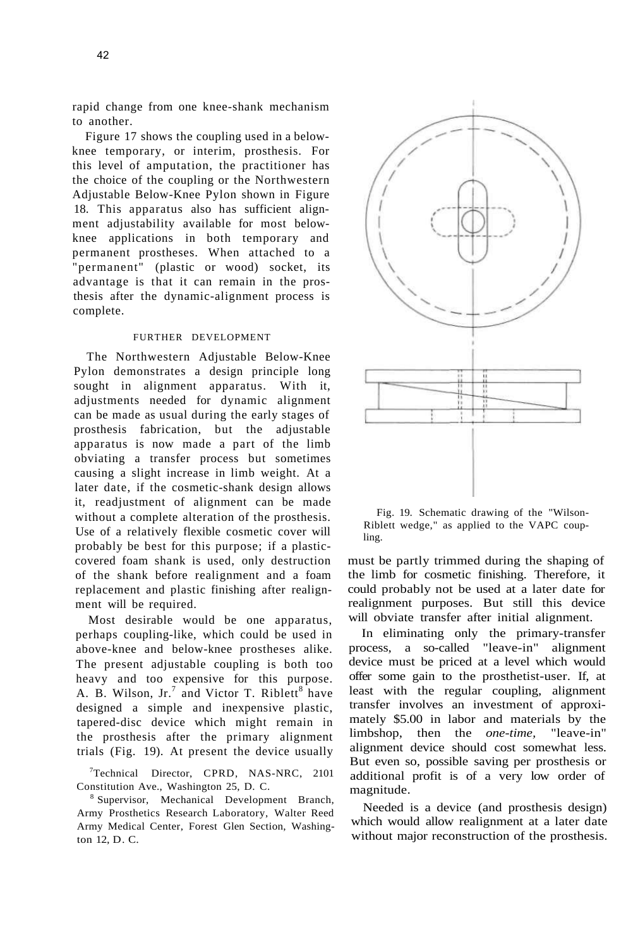rapid change from one knee-shank mechanism to another.

Figure 17 shows the coupling used in a belowknee temporary, or interim, prosthesis. For this level of amputation, the practitioner has the choice of the coupling or the Northwestern Adjustable Below-Knee Pylon shown in Figure 18. This apparatus also has sufficient alignment adjustability available for most belowknee applications in both temporary and permanent prostheses. When attached to a "permanent" (plastic or wood) socket, its advantage is that it can remain in the prosthesis after the dynamic-alignment process is complete.

# FURTHER DEVELOPMENT

The Northwestern Adjustable Below-Knee Pylon demonstrates a design principle long sought in alignment apparatus. With it, adjustments needed for dynamic alignment can be made as usual during the early stages of prosthesis fabrication, but the adjustable apparatus is now made a part of the limb obviating a transfer process but sometimes causing a slight increase in limb weight. At a later date, if the cosmetic-shank design allows it, readjustment of alignment can be made without a complete alteration of the prosthesis. Use of a relatively flexible cosmetic cover will probably be best for this purpose; if a plasticcovered foam shank is used, only destruction of the shank before realignment and a foam replacement and plastic finishing after realignment will be required.

Most desirable would be one apparatus, perhaps coupling-like, which could be used in above-knee and below-knee prostheses alike. The present adjustable coupling is both too heavy and too expensive for this purpose. A. B. Wilson,  $Jr$ , and Victor T. Riblett<sup>8</sup> have designed a simple and inexpensive plastic, tapered-disc device which might remain in the prosthesis after the primary alignment trials (Fig. 19). At present the device usually

7 Technical Director, CPRD, NAS-NRC, 2101 Constitution Ave., Washington 25, D. C.

8 Supervisor, Mechanical Development Branch, Army Prosthetics Research Laboratory, Walter Reed Army Medical Center, Forest Glen Section, Washington 12, D. C.

![](_page_11_Figure_7.jpeg)

Fig. 19. Schematic drawing of the "Wilson-Riblett wedge," as applied to the VAPC coupling.

must be partly trimmed during the shaping of the limb for cosmetic finishing. Therefore, it could probably not be used at a later date for realignment purposes. But still this device will obviate transfer after initial alignment.

In eliminating only the primary-transfer process, a so-called "leave-in" alignment device must be priced at a level which would offer some gain to the prosthetist-user. If, at least with the regular coupling, alignment transfer involves an investment of approximately \$5.00 in labor and materials by the limbshop, then the *one-time,* "leave-in" alignment device should cost somewhat less. But even so, possible saving per prosthesis or additional profit is of a very low order of magnitude.

Needed is a device (and prosthesis design) which would allow realignment at a later date without major reconstruction of the prosthesis.